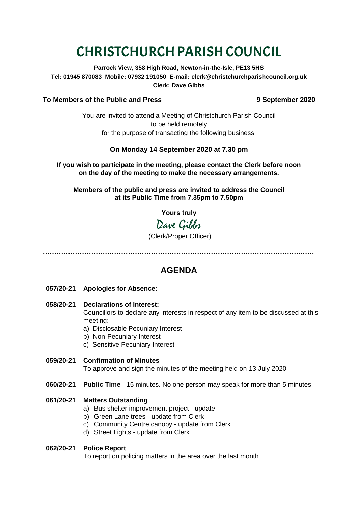# CHRISTCHURCH PARISH COUNCIL

**Parrock View, 358 High Road, Newton-in-the-Isle, PE13 5HS Tel: 01945 870083 Mobile: 07932 191050 E-mail: clerk@christchurchparishcouncil.org.uk Clerk: Dave Gibbs**

#### **To Members of the Public and Press 9 September 2020**

You are invited to attend a Meeting of Christchurch Parish Council to be held remotely for the purpose of transacting the following business.

#### **On Monday 14 September 2020 at 7.30 pm**

**If you wish to participate in the meeting, please contact the Clerk before noon on the day of the meeting to make the necessary arrangements.**

**Members of the public and press are invited to address the Council at its Public Time from 7.35pm to 7.50pm**

**Yours truly**

## Dave Gilder

#### (Clerk/Proper Officer)

**………………………………………………………………………………………………….……**

### **AGENDA**

- **057/20-21 Apologies for Absence:**
- **058/20-21 Declarations of Interest:**

Councillors to declare any interests in respect of any item to be discussed at this meeting:-

- a) Disclosable Pecuniary Interest
- b) Non-Pecuniary Interest
- c) Sensitive Pecuniary Interest
- **059/20-21 Confirmation of Minutes**  To approve and sign the minutes of the meeting held on 13 July 2020
- **060/20-21 Public Time** 15 minutes. No one person may speak for more than 5 minutes

#### **061/20-21 Matters Outstanding**

- a) Bus shelter improvement project update
- b) Green Lane trees update from Clerk
- c) Community Centre canopy update from Clerk
- d) Street Lights update from Clerk

#### **062/20-21 Police Report**

To report on policing matters in the area over the last month